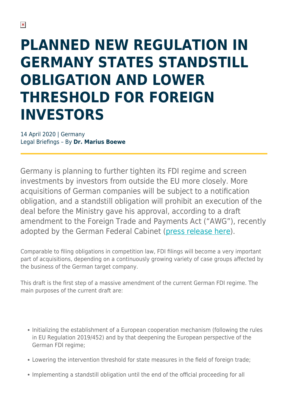## **PLANNED NEW REGULATION IN GERMANY STATES STANDSTILL OBLIGATION AND LOWER THRESHOLD FOR FOREIGN INVESTORS**

14 April 2020 | Germany Legal Briefings – By **Dr. Marius Boewe**

Germany is planning to further tighten its FDI regime and screen investments by investors from outside the EU more closely. More acquisitions of German companies will be subject to a notification obligation, and a standstill obligation will prohibit an execution of the deal before the Ministry gave his approval, according to a draft amendment to the Foreign Trade and Payments Act ("AWG"), recently adopted by the German Federal Cabinet [\(press release here](https://www.bundesregierung.de/breg-en/news/aussenwirtschaftsgesetz-1742278)).

Comparable to filing obligations in competition law, FDI filings will become a very important part of acquisitions, depending on a continuously growing variety of case groups affected by the business of the German target company.

This draft is the first step of a massive amendment of the current German FDI regime. The main purposes of the current draft are:

- Initializing the establishment of a European cooperation mechanism (following the rules in EU Regulation 2019/452) and by that deepening the European perspective of the German FDI regime;
- Lowering the intervention threshold for state measures in the field of foreign trade;
- Implementing a standstill obligation until the end of the official proceeding for all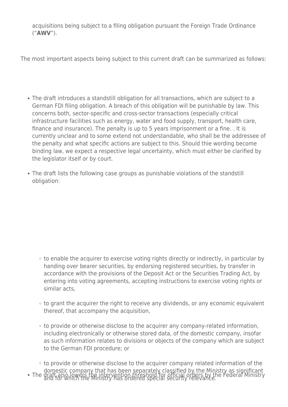acquisitions being subject to a filing obligation pursuant the Foreign Trade Ordinance ("**AWV**").

The most important aspects being subject to this current draft can be summarized as follows:

- The draft introduces a standstill obligation for all transactions, which are subject to a German FDI filing obligation. A breach of this obligation will be punishable by law. This concerns both, sector-specific and cross-sector transactions (especially critical infrastructure facilities such as energy, water and food supply, transport, health care, finance and insurance). The penalty is up to 5 years imprisonment or a fine. . It is currently unclear and to some extend not understandable, who shall be the addressee of the penalty and what specific actions are subject to this. Should thie wording become binding law, we expect a respective legal uncertainty, which must either be clarified by the legislator itself or by court.
- The draft lists the following case groups as punishable violations of the standstill obligation:

- to enable the acquirer to exercise voting rights directly or indirectly, in particular by handing over bearer securities, by endorsing registered securities, by transfer in accordance with the provisions of the Deposit Act or the Securities Trading Act, by entering into voting agreements, accepting instructions to exercise voting rights or similar acts,
- $\circ$  to grant the acquirer the right to receive any dividends, or any economic equivalent thereof, that accompany the acquisition,
- to provide or otherwise disclose to the acquirer any company-related information, including electronically or otherwise stored data, of the domestic company, insofar as such information relates to divisions or objects of the company which are subject to the German FDI procedure; or
- to provide or otherwise disclose to the acquirer company related information of the domestic company that has been separately classified by the Ministry as significant The draft also lowers the intervention threshold for official orders by the Federal Ministry<br>and for which the Ministry has ordered special security relevance.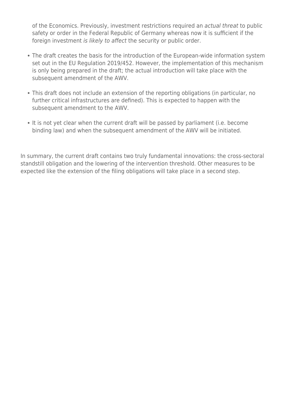of the Economics. Previously, investment restrictions required an actual threat to public safety or order in the Federal Republic of Germany whereas now it is sufficient if the foreign investment is likely to affect the security or public order.

- The draft creates the basis for the introduction of the European-wide information system set out in the EU Regulation 2019/452. However, the implementation of this mechanism is only being prepared in the draft; the actual introduction will take place with the subsequent amendment of the AWV.
- This draft does not include an extension of the reporting obligations (in particular, no further critical infrastructures are defined). This is expected to happen with the subsequent amendment to the AWV.
- It is not yet clear when the current draft will be passed by parliament (i.e. become binding law) and when the subsequent amendment of the AWV will be initiated.

In summary, the current draft contains two truly fundamental innovations: the cross-sectoral standstill obligation and the lowering of the intervention threshold. Other measures to be expected like the extension of the filing obligations will take place in a second step.